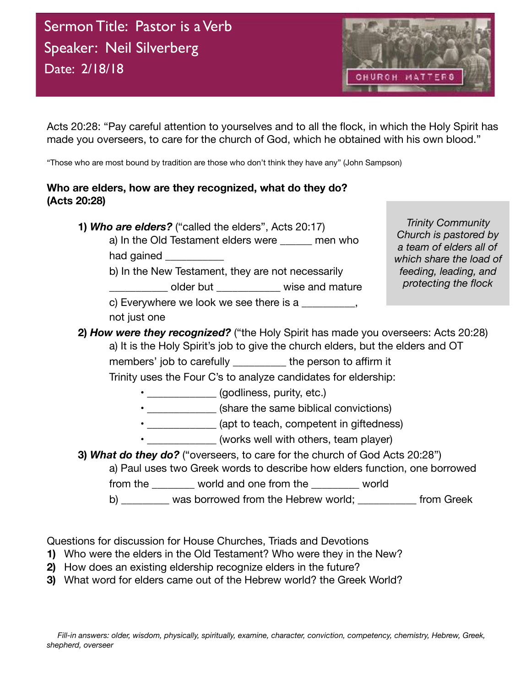

Acts 20:28: "Pay careful attention to yourselves and to all the flock, in which the Holy Spirit has made you overseers, to care for the church of God, which he obtained with his own blood."

"Those who are most bound by tradition are those who don't think they have any" (John Sampson)

## **Who are elders, how are they recognized, what do they do? (Acts 20:28)**

- **1)** *Who are elders?* ("called the elders", Acts 20:17) a) In the Old Testament elders were \_\_\_\_\_\_ men who had gained **with the same of the same of the same of the same of the same of the same of the same of the same of the same of the same of the same of the same of the same of the same of the same of the same of the same of t** 
	- b) In the New Testament, they are not necessarily

\_\_\_\_\_\_\_\_\_\_\_\_ older but \_\_\_\_\_\_\_\_\_\_\_\_\_\_\_ wise and mature c) Everywhere we look we see there is a not just one

*Trinity Community Church is pastored by a team of elders all of which share the load of feeding, leading, and protecting the flock*

## **2)** *How were they recognized?* ("the Holy Spirit has made you overseers: Acts 20:28) a) It is the Holy Spirit's job to give the church elders, but the elders and OT members' job to carefully the person to affirm it

 Trinity uses the Four C's to analyze candidates for eldership:

- **a** *godliness*, purity, etc.)
- \_\_\_\_\_\_\_\_\_\_\_\_\_ (share the same biblical convictions)
- \_\_\_\_\_\_\_\_\_\_\_\_\_\_ (apt to teach, competent in giftedness)
- \_\_\_\_\_\_\_\_\_\_\_\_\_ (works well with others, team player)
- **3)** *What do they do?* ("overseers, to care for the church of God Acts 20:28")
	- a) Paul uses two Greek words to describe how elders function, one borrowed

from the world and one from the world

b) was borrowed from the Hebrew world; entitled from Greek

Questions for discussion for House Churches, Triads and Devotions

- **1)** Who were the elders in the Old Testament? Who were they in the New?
- **2)** How does an existing eldership recognize elders in the future?
- **3)** What word for elders came out of the Hebrew world? the Greek World?